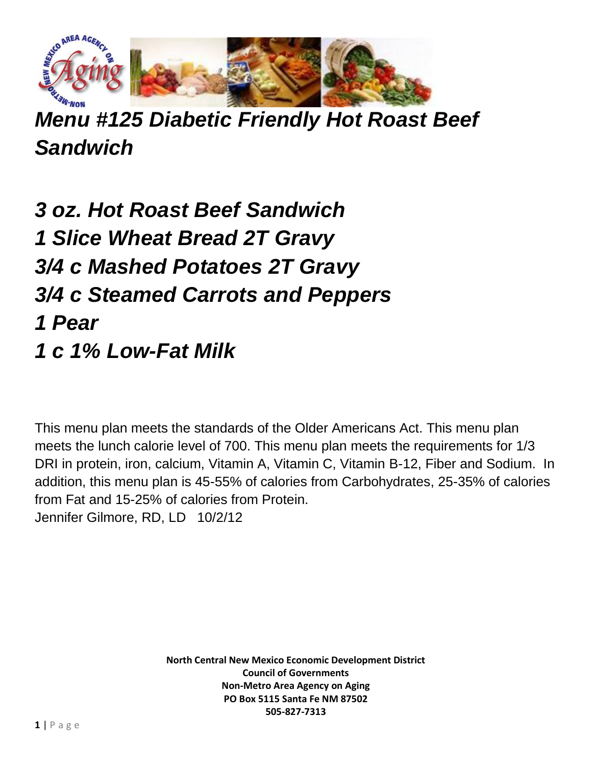

*Menu #125 Diabetic Friendly Hot Roast Beef Sandwich*

*3 oz. Hot Roast Beef Sandwich 1 Slice Wheat Bread 2T Gravy 3/4 c Mashed Potatoes 2T Gravy 3/4 c Steamed Carrots and Peppers 1 Pear 1 c 1% Low-Fat Milk*

This menu plan meets the standards of the Older Americans Act. This menu plan meets the lunch calorie level of 700. This menu plan meets the requirements for 1/3 DRI in protein, iron, calcium, Vitamin A, Vitamin C, Vitamin B-12, Fiber and Sodium. In addition, this menu plan is 45-55% of calories from Carbohydrates, 25-35% of calories from Fat and 15-25% of calories from Protein. Jennifer Gilmore, RD, LD 10/2/12

> **North Central New Mexico Economic Development District Council of Governments Non-Metro Area Agency on Aging PO Box 5115 Santa Fe NM 87502 505-827-7313**